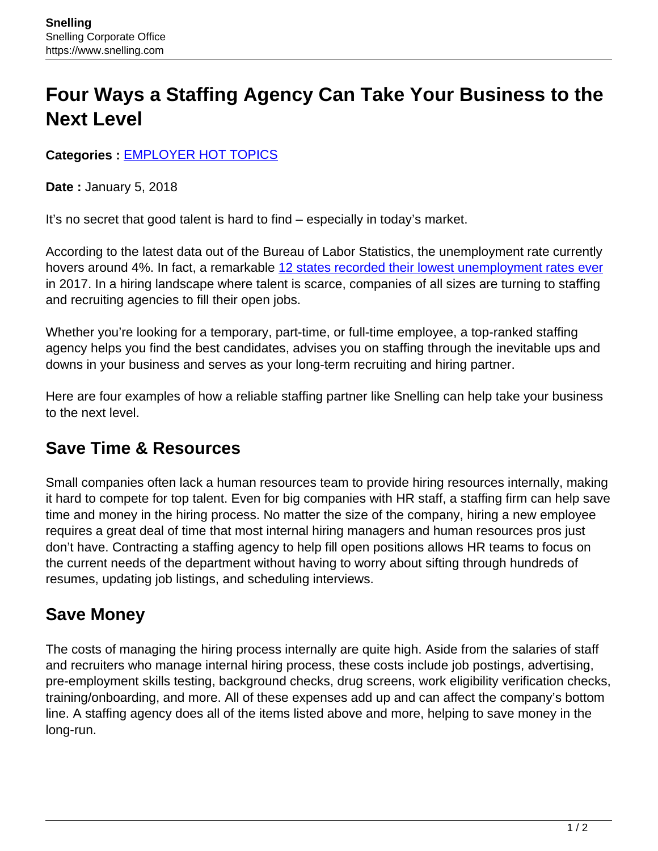# **Four Ways a Staffing Agency Can Take Your Business to the Next Level**

#### **Categories :** [EMPLOYER HOT TOPICS](https://www.snelling.com/category/employer-hot-topics/)

**Date :** January 5, 2018

It's no secret that good talent is hard to find – especially in today's market.

According to the latest data out of the Bureau of Labor Statistics, the unemployment rate currently hovers around 4%. In fact, a remarkable [12 states recorded their lowest unemployment rates ever](http://fortune.com/2017/12/20/us-unemployment-rate-states/) in 2017. In a hiring landscape where talent is scarce, companies of all sizes are turning to staffing and recruiting agencies to fill their open jobs.

Whether you're looking for a temporary, part-time, or full-time employee, a top-ranked staffing agency helps you find the best candidates, advises you on staffing through the inevitable ups and downs in your business and serves as your long-term recruiting and hiring partner.

Here are four examples of how a reliable staffing partner like Snelling can help take your business to the next level.

### **Save Time & Resources**

Small companies often lack a human resources team to provide hiring resources internally, making it hard to compete for top talent. Even for big companies with HR staff, a staffing firm can help save time and money in the hiring process. No matter the size of the company, hiring a new employee requires a great deal of time that most internal hiring managers and human resources pros just don't have. Contracting a staffing agency to help fill open positions allows HR teams to focus on the current needs of the department without having to worry about sifting through hundreds of resumes, updating job listings, and scheduling interviews.

### **Save Money**

The costs of managing the hiring process internally are quite high. Aside from the salaries of staff and recruiters who manage internal hiring process, these costs include job postings, advertising, pre-employment skills testing, background checks, drug screens, work eligibility verification checks, training/onboarding, and more. All of these expenses add up and can affect the company's bottom line. A staffing agency does all of the items listed above and more, helping to save money in the long-run.